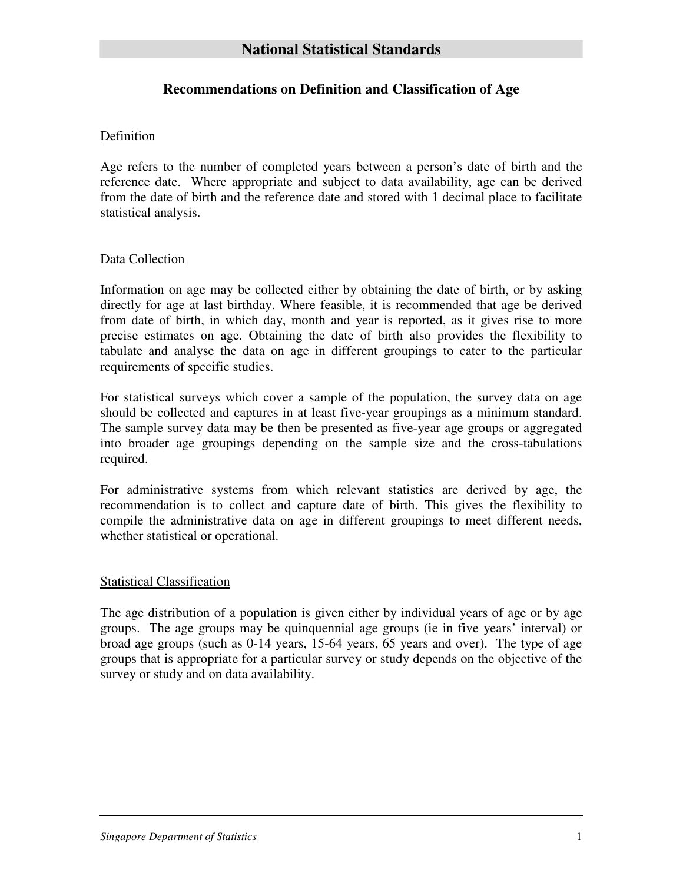# **Recommendations on Definition and Classification of Age**

## Definition

Age refers to the number of completed years between a person's date of birth and the reference date. Where appropriate and subject to data availability, age can be derived from the date of birth and the reference date and stored with 1 decimal place to facilitate statistical analysis.

## Data Collection

Information on age may be collected either by obtaining the date of birth, or by asking directly for age at last birthday. Where feasible, it is recommended that age be derived from date of birth, in which day, month and year is reported, as it gives rise to more precise estimates on age. Obtaining the date of birth also provides the flexibility to tabulate and analyse the data on age in different groupings to cater to the particular requirements of specific studies.

For statistical surveys which cover a sample of the population, the survey data on age should be collected and captures in at least five-year groupings as a minimum standard. The sample survey data may be then be presented as five-year age groups or aggregated into broader age groupings depending on the sample size and the cross-tabulations required.

For administrative systems from which relevant statistics are derived by age, the recommendation is to collect and capture date of birth. This gives the flexibility to compile the administrative data on age in different groupings to meet different needs, whether statistical or operational.

#### Statistical Classification

The age distribution of a population is given either by individual years of age or by age groups. The age groups may be quinquennial age groups (ie in five years' interval) or broad age groups (such as 0-14 years, 15-64 years, 65 years and over). The type of age groups that is appropriate for a particular survey or study depends on the objective of the survey or study and on data availability.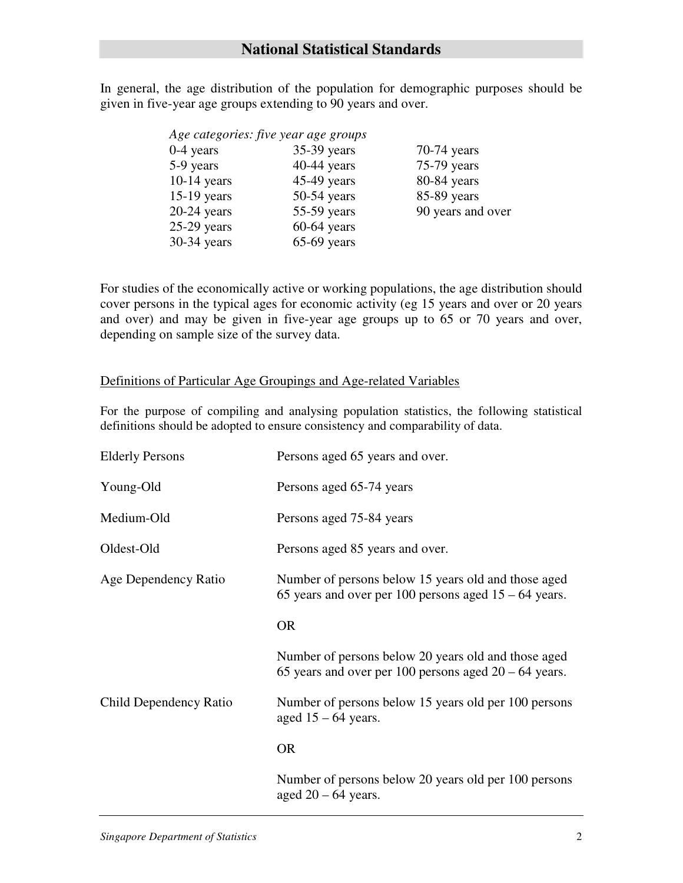In general, the age distribution of the population for demographic purposes should be given in five-year age groups extending to 90 years and over.

|               | Age categories: five year age groups |                   |
|---------------|--------------------------------------|-------------------|
| $0-4$ years   | 35-39 years                          | $70-74$ years     |
| 5-9 years     | $40-44$ years                        | 75-79 years       |
| $10-14$ years | 45-49 years                          | 80-84 years       |
| $15-19$ years | $50-54$ years                        | 85-89 years       |
| $20-24$ years | 55-59 years                          | 90 years and over |
| $25-29$ years | $60-64$ years                        |                   |
| 30-34 years   | $65-69$ years                        |                   |
|               |                                      |                   |

For studies of the economically active or working populations, the age distribution should cover persons in the typical ages for economic activity (eg 15 years and over or 20 years and over) and may be given in five-year age groups up to 65 or 70 years and over, depending on sample size of the survey data.

### Definitions of Particular Age Groupings and Age-related Variables

For the purpose of compiling and analysing population statistics, the following statistical definitions should be adopted to ensure consistency and comparability of data.

| <b>Elderly Persons</b> | Persons aged 65 years and over.                                                                                |  |
|------------------------|----------------------------------------------------------------------------------------------------------------|--|
| Young-Old              | Persons aged 65-74 years                                                                                       |  |
| Medium-Old             | Persons aged 75-84 years                                                                                       |  |
| Oldest-Old             | Persons aged 85 years and over.                                                                                |  |
| Age Dependency Ratio   | Number of persons below 15 years old and those aged<br>65 years and over per 100 persons aged $15 - 64$ years. |  |
|                        | <b>OR</b>                                                                                                      |  |
|                        | Number of persons below 20 years old and those aged<br>65 years and over per 100 persons aged $20 - 64$ years. |  |
| Child Dependency Ratio | Number of persons below 15 years old per 100 persons<br>aged $15 - 64$ years.                                  |  |
|                        | <b>OR</b>                                                                                                      |  |
|                        | Number of persons below 20 years old per 100 persons<br>aged $20 - 64$ years.                                  |  |